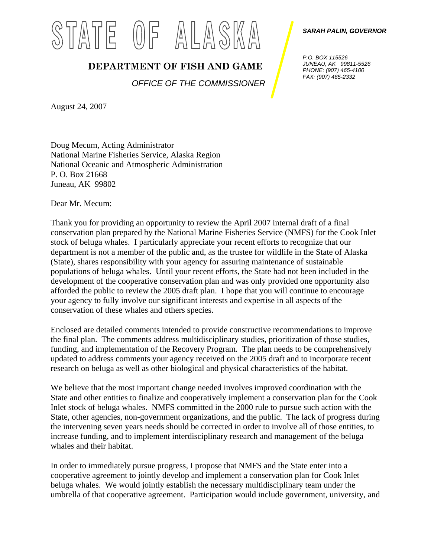## TATE OF ALASKA

## **DEPARTMENT OF FISH AND GAME**

*OFFICE OF THE COMMISSIONER* 

August 24, 2007

Doug Mecum, Acting Administrator National Marine Fisheries Service, Alaska Region National Oceanic and Atmospheric Administration P. O. Box 21668 Juneau, AK 99802

Dear Mr. Mecum:

Thank you for providing an opportunity to review the April 2007 internal draft of a final conservation plan prepared by the National Marine Fisheries Service (NMFS) for the Cook Inlet stock of beluga whales. I particularly appreciate your recent efforts to recognize that our department is not a member of the public and, as the trustee for wildlife in the State of Alaska (State), shares responsibility with your agency for assuring maintenance of sustainable populations of beluga whales. Until your recent efforts, the State had not been included in the development of the cooperative conservation plan and was only provided one opportunity also afforded the public to review the 2005 draft plan. I hope that you will continue to encourage your agency to fully involve our significant interests and expertise in all aspects of the conservation of these whales and others species.

Enclosed are detailed comments intended to provide constructive recommendations to improve the final plan. The comments address multidisciplinary studies, prioritization of those studies, funding, and implementation of the Recovery Program. The plan needs to be comprehensively updated to address comments your agency received on the 2005 draft and to incorporate recent research on beluga as well as other biological and physical characteristics of the habitat.

We believe that the most important change needed involves improved coordination with the State and other entities to finalize and cooperatively implement a conservation plan for the Cook Inlet stock of beluga whales. NMFS committed in the 2000 rule to pursue such action with the State, other agencies, non-government organizations, and the public. The lack of progress during the intervening seven years needs should be corrected in order to involve all of those entities, to increase funding, and to implement interdisciplinary research and management of the beluga whales and their habitat.

In order to immediately pursue progress, I propose that NMFS and the State enter into a cooperative agreement to jointly develop and implement a conservation plan for Cook Inlet beluga whales. We would jointly establish the necessary multidisciplinary team under the umbrella of that cooperative agreement. Participation would include government, university, and

## *SARAH PALIN, GOVERNOR*

*P.O. BOX 115526 JUNEAU, AK 99811-5526 PHONE: (907) 465-4100 FAX: (907) 465-2332*